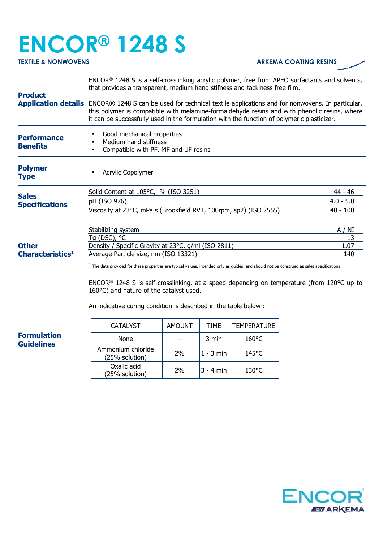## **ENCOR® 1248 S**

## **TEXTILE & NONWOVENS ARKEMA COATING RESINS**

| <b>Product</b>                                                                          | ENCOR® 1248 S is a self-crosslinking acrylic polymer, free from APEO surfactants and solvents,<br>that provides a transparent, medium hand stifness and tackiness free film.                                                                                                                                     |                |             |                    |  |  |
|-----------------------------------------------------------------------------------------|------------------------------------------------------------------------------------------------------------------------------------------------------------------------------------------------------------------------------------------------------------------------------------------------------------------|----------------|-------------|--------------------|--|--|
|                                                                                         | Application details ENCOR® 1248 S can be used for technical textile applications and for nonwovens. In particular,<br>this polymer is compatible with melamine-formaldehyde resins and with phenolic resins, where<br>it can be successfully used in the formulation with the function of polymeric plasticizer. |                |             |                    |  |  |
| <b>Performance</b><br><b>Benefits</b>                                                   | Good mechanical properties<br>Medium hand stiffness<br>Compatible with PF, MF and UF resins                                                                                                                                                                                                                      |                |             |                    |  |  |
| <b>Polymer</b><br><b>Type</b>                                                           | Acrylic Copolymer                                                                                                                                                                                                                                                                                                |                |             |                    |  |  |
| <b>Sales</b><br><b>Specifications</b>                                                   | Solid Content at 105°C, % (ISO 3251)                                                                                                                                                                                                                                                                             | 44 - 46        |             |                    |  |  |
|                                                                                         | pH (ISO 976)                                                                                                                                                                                                                                                                                                     | $4.0 - 5.0$    |             |                    |  |  |
|                                                                                         | Viscosity at 23°C, mPa.s (Brookfield RVT, 100rpm, sp2) (ISO 2555)<br>$40 - 100$                                                                                                                                                                                                                                  |                |             |                    |  |  |
| <b>Other</b><br>Characteristics <sup>1</sup><br><b>Formulation</b><br><b>Guidelines</b> | Stabilizing system                                                                                                                                                                                                                                                                                               | A / NI         |             |                    |  |  |
|                                                                                         | Tg (DSC), $^{\circ}$ C                                                                                                                                                                                                                                                                                           | 13             |             |                    |  |  |
|                                                                                         | Density / Specific Gravity at 23°C, g/ml (ISO 2811)                                                                                                                                                                                                                                                              | 1.07           |             |                    |  |  |
|                                                                                         | Average Particle size, nm (ISO 13321)<br>140                                                                                                                                                                                                                                                                     |                |             |                    |  |  |
|                                                                                         | $1$ The data provided for these properties are typical values, intended only as guides, and should not be construed as sales specifications                                                                                                                                                                      |                |             |                    |  |  |
|                                                                                         | ENCOR <sup>®</sup> 1248 S is self-crosslinking, at a speed depending on temperature (from 120 $^{\circ}$ C up to<br>160°C) and nature of the catalyst used.                                                                                                                                                      |                |             |                    |  |  |
|                                                                                         | An indicative curing condition is described in the table below :                                                                                                                                                                                                                                                 |                |             |                    |  |  |
|                                                                                         | <b>CATALYST</b>                                                                                                                                                                                                                                                                                                  | <b>AMOUNT</b>  | <b>TIME</b> | <b>TEMPERATURE</b> |  |  |
|                                                                                         | None                                                                                                                                                                                                                                                                                                             | $\blacksquare$ | 3 min       | 160°C              |  |  |
|                                                                                         | Ammonium chloride<br>(25% solution)                                                                                                                                                                                                                                                                              | 2%             | $1 - 3$ min | 145°C              |  |  |
|                                                                                         | Oxalic acid<br>(25% solution)                                                                                                                                                                                                                                                                                    | 2%             | $3 - 4$ min | 130°C              |  |  |
|                                                                                         |                                                                                                                                                                                                                                                                                                                  |                |             |                    |  |  |